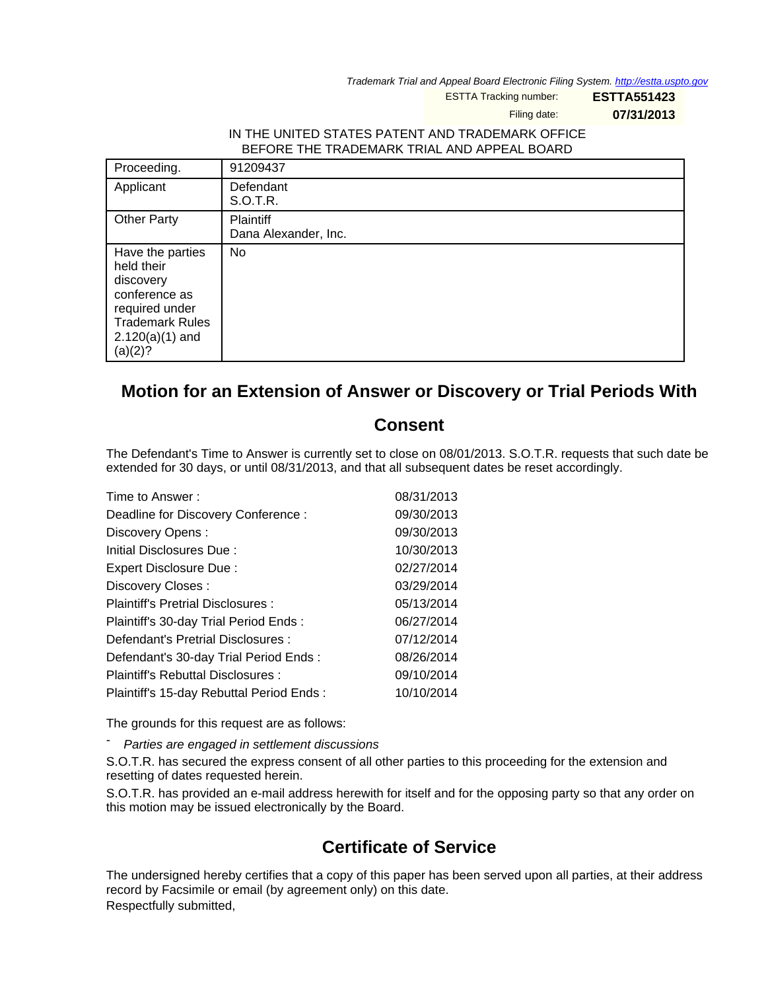Trademark Trial and Appeal Board Electronic Filing System. <http://estta.uspto.gov>

ESTTA Tracking number: **ESTTA551423**

Filing date: **07/31/2013**

## IN THE UNITED STATES PATENT AND TRADEMARK OFFICE BEFORE THE TRADEMARK TRIAL AND APPEAL BOARD

| Proceeding.                                                                                                                              | 91209437                          |
|------------------------------------------------------------------------------------------------------------------------------------------|-----------------------------------|
| Applicant                                                                                                                                | Defendant<br>S.O.T.R.             |
| <b>Other Party</b>                                                                                                                       | Plaintiff<br>Dana Alexander, Inc. |
| Have the parties<br>held their<br>discovery<br>conference as<br>required under<br><b>Trademark Rules</b><br>$2.120(a)(1)$ and<br>(a)(2)? | No                                |

## **Motion for an Extension of Answer or Discovery or Trial Periods With**

## **Consent**

The Defendant's Time to Answer is currently set to close on 08/01/2013. S.O.T.R. requests that such date be extended for 30 days, or until 08/31/2013, and that all subsequent dates be reset accordingly.

| Time to Answer:                          | 08/31/2013 |
|------------------------------------------|------------|
| Deadline for Discovery Conference:       | 09/30/2013 |
| Discovery Opens:                         | 09/30/2013 |
| Initial Disclosures Due:                 | 10/30/2013 |
| Expert Disclosure Due:                   | 02/27/2014 |
| Discovery Closes:                        | 03/29/2014 |
| Plaintiff's Pretrial Disclosures:        | 05/13/2014 |
| Plaintiff's 30-day Trial Period Ends:    | 06/27/2014 |
| Defendant's Pretrial Disclosures :       | 07/12/2014 |
| Defendant's 30-day Trial Period Ends:    | 08/26/2014 |
| Plaintiff's Rebuttal Disclosures :       | 09/10/2014 |
| Plaintiff's 15-day Rebuttal Period Ends: | 10/10/2014 |

The grounds for this request are as follows:

Parties are engaged in settlement discussions

S.O.T.R. has secured the express consent of all other parties to this proceeding for the extension and resetting of dates requested herein.

S.O.T.R. has provided an e-mail address herewith for itself and for the opposing party so that any order on this motion may be issued electronically by the Board.

## **Certificate of Service**

The undersigned hereby certifies that a copy of this paper has been served upon all parties, at their address record by Facsimile or email (by agreement only) on this date. Respectfully submitted,